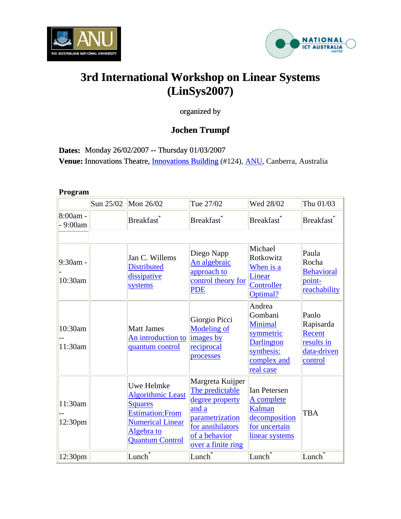



# **3rd International Workshop on Linear Systems (LinSys2007)**

organized by

# **Jochen Trumpf**

**Dates:** Monday 26/02/2007 -- Thursday 01/03/2007 **Venue:** Innovations Theatre, *Innovations Building* (#124), *ANU*[, Canberra, Australia](http://transport.anu.edu.au/For_Visitors)

## **Program**

|                       | Sun 25/02 | Mon 26/02                                                                                                                                              | Tue 27/02                                                                                                                                     | Wed 28/02                                                                                                       | Thu 01/03                                                            |
|-----------------------|-----------|--------------------------------------------------------------------------------------------------------------------------------------------------------|-----------------------------------------------------------------------------------------------------------------------------------------------|-----------------------------------------------------------------------------------------------------------------|----------------------------------------------------------------------|
| 8:00am -<br>$-9:00am$ |           | Breakfast <sup>*</sup>                                                                                                                                 | Breakfast <sup>*</sup>                                                                                                                        | Breakfast <sup>*</sup>                                                                                          | <b>Breakfast</b>                                                     |
|                       |           |                                                                                                                                                        |                                                                                                                                               |                                                                                                                 |                                                                      |
| 9:30am -<br>10:30am   |           | Jan C. Willems<br><b>Distributed</b><br>dissipative<br>systems                                                                                         | Diego Napp<br>An algebraic<br>approach to<br>control theory for<br><b>PDE</b>                                                                 | Michael<br>Rotkowitz<br>When is a<br>Linear<br>Controller<br>Optimal?                                           | Paula<br>Rocha<br><b>Behavioral</b><br>point-<br>reachability        |
| 10:30am<br>11:30am    |           | <b>Matt James</b><br>An introduction to<br>quantum control                                                                                             | Giorgio Picci<br><b>Modeling of</b><br>images by<br>reciprocal<br>processes                                                                   | Andrea<br>Gombani<br><b>Minimal</b><br>symmetric<br><b>Darlington</b><br>synthesis:<br>complex and<br>real case | Paolo<br>Rapisarda<br>Recent<br>results in<br>data-driven<br>control |
| 11:30am<br>12:30pm    |           | Uwe Helmke<br><b>Algorithmic Least</b><br><b>Squares</b><br><b>Estimation: From</b><br><b>Numerical Linear</b><br>Algebra to<br><b>Quantum Control</b> | Margreta Kuijper<br>The predictable<br>degree property<br>and a<br>parametrization<br>for annihilators<br>of a behavior<br>over a finite ring | <b>Ian Petersen</b><br>A complete<br>Kalman<br>decomposition<br>for uncertain<br>linear systems                 | <b>TBA</b>                                                           |
| 12:30 <sub>pm</sub>   |           | $\vert$ Lunch $\bar{\bar{}}$                                                                                                                           | Lunch <sup>*</sup>                                                                                                                            | Lunch                                                                                                           | Lunch                                                                |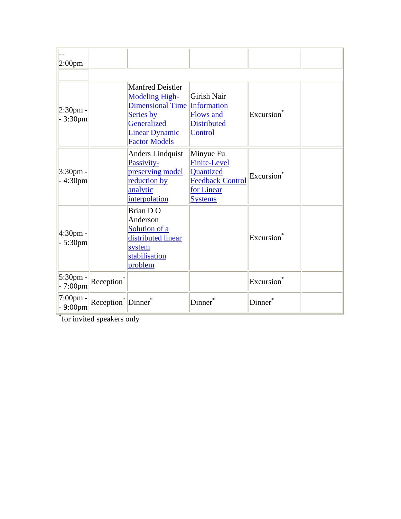| 2:00 <sub>pm</sub>              |                                                   |                                                                                                                                                                      |                                                                                                          |                        |  |
|---------------------------------|---------------------------------------------------|----------------------------------------------------------------------------------------------------------------------------------------------------------------------|----------------------------------------------------------------------------------------------------------|------------------------|--|
|                                 |                                                   |                                                                                                                                                                      |                                                                                                          |                        |  |
| $2:30pm$ -<br>$-3:30$ pm        |                                                   | <b>Manfred Deistler</b><br><b>Modeling High-</b><br><b>Dimensional Time Information</b><br>Series by<br>Generalized<br><b>Linear Dynamic</b><br><b>Factor Models</b> | <b>Girish Nair</b><br><b>Flows and</b><br><b>Distributed</b><br>Control                                  | Excursion              |  |
| $3:30$ pm -<br>$-4:30$ pm       |                                                   | <b>Anders Lindquist</b><br>Passivity-<br>preserving model<br>reduction by<br>analytic<br>interpolation                                                               | Minyue Fu<br><b>Finite-Level</b><br>Quantized<br><b>Feedback Control</b><br>for Linear<br><b>Systems</b> | Excursion <sup>*</sup> |  |
| 4:30pm -<br>$-5:30$ pm          |                                                   | Brian DO<br>Anderson<br>Solution of a<br>distributed linear<br>system<br>stabilisation<br>problem                                                                    |                                                                                                          | Excursion              |  |
| 5:30pm -<br>$-7:00$ pm          | Reception*                                        |                                                                                                                                                                      |                                                                                                          | Excursion*             |  |
| $7:00 \text{pm} -$<br>$-9:00pm$ | $Reception$ <sup>*</sup>   Dinner $\overline{\ }$ |                                                                                                                                                                      | Dinner <sup>®</sup>                                                                                      | Dinner*                |  |

\* for invited speakers only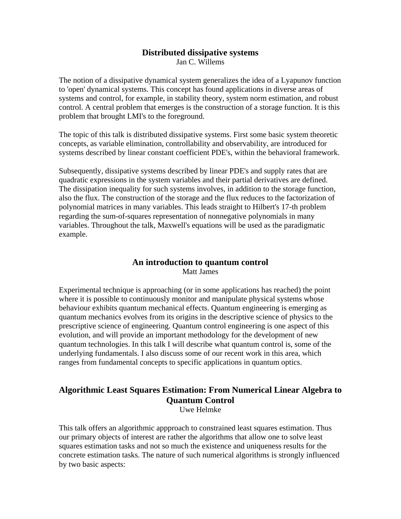# **Distributed dissipative systems**

Jan C. Willems

The notion of a dissipative dynamical system generalizes the idea of a Lyapunov function to 'open' dynamical systems. This concept has found applications in diverse areas of systems and control, for example, in stability theory, system norm estimation, and robust control. A central problem that emerges is the construction of a storage function. It is this problem that brought LMI's to the foreground.

The topic of this talk is distributed dissipative systems. First some basic system theoretic concepts, as variable elimination, controllability and observability, are introduced for systems described by linear constant coefficient PDE's, within the behavioral framework.

Subsequently, dissipative systems described by linear PDE's and supply rates that are quadratic expressions in the system variables and their partial derivatives are defined. The dissipation inequality for such systems involves, in addition to the storage function, also the flux. The construction of the storage and the flux reduces to the factorization of polynomial matrices in many variables. This leads straight to Hilbert's 17-th problem regarding the sum-of-squares representation of nonnegative polynomials in many variables. Throughout the talk, Maxwell's equations will be used as the paradigmatic example.

#### **An introduction to quantum control** Matt James

Experimental technique is approaching (or in some applications has reached) the point where it is possible to continuously monitor and manipulate physical systems whose behaviour exhibits quantum mechanical effects. Quantum engineering is emerging as quantum mechanics evolves from its origins in the descriptive science of physics to the prescriptive science of engineering. Quantum control engineering is one aspect of this evolution, and will provide an important methodology for the development of new quantum technologies. In this talk I will describe what quantum control is, some of the underlying fundamentals. I also discuss some of our recent work in this area, which ranges from fundamental concepts to specific applications in quantum optics.

# **Algorithmic Least Squares Estimation: From Numerical Linear Algebra to Quantum Control**

Uwe Helmke

This talk offers an algorithmic appproach to constrained least squares estimation. Thus our primary objects of interest are rather the algorithms that allow one to solve least squares estimation tasks and not so much the existence and uniqueness results for the concrete estimation tasks. The nature of such numerical algorithms is strongly influenced by two basic aspects: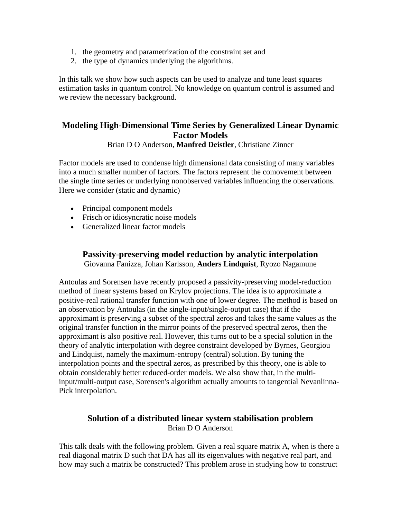- 1. the geometry and parametrization of the constraint set and
- 2. the type of dynamics underlying the algorithms.

In this talk we show how such aspects can be used to analyze and tune least squares estimation tasks in quantum control. No knowledge on quantum control is assumed and we review the necessary background.

# **Modeling High-Dimensional Time Series by Generalized Linear Dynamic Factor Models**

#### Brian D O Anderson, **Manfred Deistler**, Christiane Zinner

Factor models are used to condense high dimensional data consisting of many variables into a much smaller number of factors. The factors represent the comovement between the single time series or underlying nonobserved variables influencing the observations. Here we consider (static and dynamic)

- Principal component models
- Frisch or idiosyncratic noise models
- Generalized linear factor models

# **Passivity-preserving model reduction by analytic interpolation** Giovanna Fanizza, Johan Karlsson, **Anders Lindquist**, Ryozo Nagamune

Antoulas and Sorensen have recently proposed a passivity-preserving model-reduction method of linear systems based on Krylov projections. The idea is to approximate a positive-real rational transfer function with one of lower degree. The method is based on an observation by Antoulas (in the single-input/single-output case) that if the approximant is preserving a subset of the spectral zeros and takes the same values as the original transfer function in the mirror points of the preserved spectral zeros, then the approximant is also positive real. However, this turns out to be a special solution in the theory of analytic interpolation with degree constraint developed by Byrnes, Georgiou and Lindquist, namely the maximum-entropy (central) solution. By tuning the interpolation points and the spectral zeros, as prescribed by this theory, one is able to obtain considerably better reduced-order models. We also show that, in the multiinput/multi-output case, Sorensen's algorithm actually amounts to tangential Nevanlinna-Pick interpolation.

# **Solution of a distributed linear system stabilisation problem** Brian D O Anderson

This talk deals with the following problem. Given a real square matrix A, when is there a real diagonal matrix D such that DA has all its eigenvalues with negative real part, and how may such a matrix be constructed? This problem arose in studying how to construct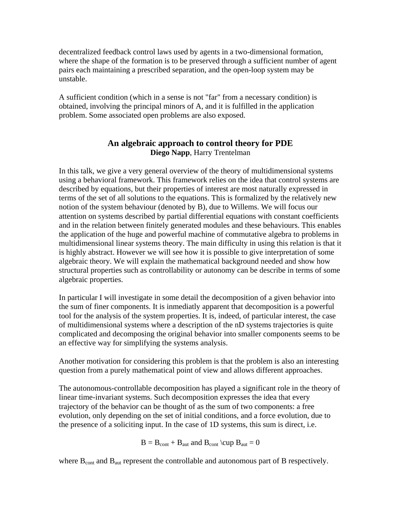decentralized feedback control laws used by agents in a two-dimensional formation, where the shape of the formation is to be preserved through a sufficient number of agent pairs each maintaining a prescribed separation, and the open-loop system may be unstable.

A sufficient condition (which in a sense is not "far" from a necessary condition) is obtained, involving the principal minors of A, and it is fulfilled in the application problem. Some associated open problems are also exposed.

# **An algebraic approach to control theory for PDE Diego Napp**, Harry Trentelman

In this talk, we give a very general overview of the theory of multidimensional systems using a behavioral framework. This framework relies on the idea that control systems are described by equations, but their properties of interest are most naturally expressed in terms of the set of all solutions to the equations. This is formalized by the relatively new notion of the system behaviour (denoted by B), due to Willems. We will focus our attention on systems described by partial differential equations with constant coefficients and in the relation between finitely generated modules and these behaviours. This enables the application of the huge and powerful machine of commutative algebra to problems in multidimensional linear systems theory. The main difficulty in using this relation is that it is highly abstract. However we will see how it is possible to give interpretation of some algebraic theory. We will explain the mathematical background needed and show how structural properties such as controllability or autonomy can be describe in terms of some algebraic properties.

In particular I will investigate in some detail the decomposition of a given behavior into the sum of finer components. It is inmediatly apparent that decomposition is a powerful tool for the analysis of the system properties. It is, indeed, of particular interest, the case of multidimensional systems where a description of the nD systems trajectories is quite complicated and decomposing the original behavior into smaller components seems to be an effective way for simplifying the systems analysis.

Another motivation for considering this problem is that the problem is also an interesting question from a purely mathematical point of view and allows different approaches.

The autonomous-controllable decomposition has played a significant role in the theory of linear time-invariant systems. Such decomposition expresses the idea that every trajectory of the behavior can be thought of as the sum of two components: a free evolution, only depending on the set of initial conditions, and a force evolution, due to the presence of a soliciting input. In the case of 1D systems, this sum is direct, i.e.

$$
B=B_{cont}+B_{aut} \ and \ B_{cont} \ \ \text{(cup } B_{aut}=0
$$

where  $B_{\text{cont}}$  and  $B_{\text{aut}}$  represent the controllable and autonomous part of B respectively.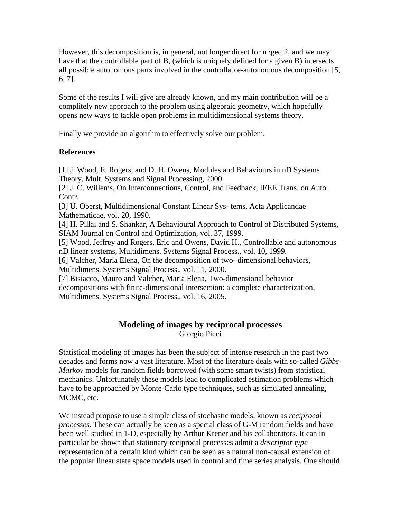However, this decomposition is, in general, not longer direct for  $\log q$  2, and we may have that the controllable part of B, (which is uniquely defined for a given B) intersects all possible autonomous parts involved in the controllable-autonomous decomposition [5, 6, 7].

Some of the results I will give are already known, and my main contribution will be a complitely new approach to the problem using algebraic geometry, which hopefully opens new ways to tackle open problems in multidimensional systems theory.

Finally we provide an algorithm to effectively solve our problem.

#### **References**

[1] J. Wood, E. Rogers, and D. H. Owens, Modules and Behaviours in nD Systems Theory, Mult. Systems and Signal Processing, 2000.

[2] J. C. Willems, On Interconnections, Control, and Feedback, IEEE Trans. on Auto. Contr.

[3] U. Oberst, Multidimensional Constant Linear Sys- tems, Acta Applicandae Mathematicae, vol. 20, 1990.

[4] H. Pillai and S. Shankar, A Behavioural Approach to Control of Distributed Systems, SIAM Journal on Control and Optimization, vol. 37, 1999.

[5] Wood, Jeffrey and Rogers, Eric and Owens, David H., Controllable and autonomous nD linear systems, Multidimens. Systems Signal Process., vol. 10, 1999.

[6] Valcher, Maria Elena, On the decomposition of two- dimensional behaviors,

Multidimens. Systems Signal Process., vol. 11, 2000.

[7] Bisiacco, Mauro and Valcher, Maria Elena, Two-dimensional behavior decompositions with finite-dimensional intersection: a complete characterization, Multidimens. Systems Signal Process., vol. 16, 2005.

## **Modeling of images by reciprocal processes** Giorgio Picci

Statistical modeling of images has been the subject of intense research in the past two decades and forms now a vast literature. Most of the literature deals with so-called *Gibbs-Markov* models for random fields borrowed (with some smart twists) from statistical mechanics. Unfortunately these models lead to complicated estimation problems which have to be approached by Monte-Carlo type techniques, such as simulated annealing, MCMC, etc.

We instead propose to use a simple class of stochastic models, known as *reciprocal processes*. These can actually be seen as a special class of G-M random fields and have been well studied in 1-D, especially by Arthur Krener and his collaborators. It can in particular be shown that stationary reciprocal processes admit a *descriptor type* representation of a certain kind which can be seen as a natural non-causal extension of the popular linear state space models used in control and time series analysis. One should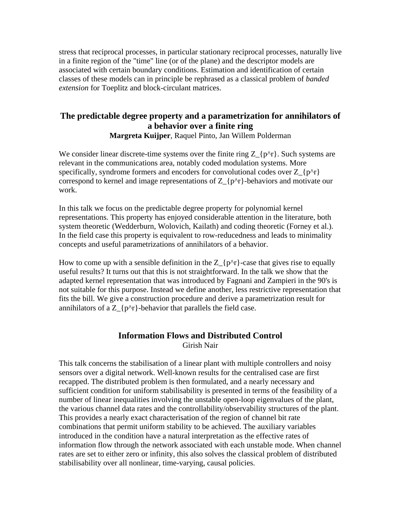stress that reciprocal processes, in particular stationary reciprocal processes, naturally live in a finite region of the "time" line (or of the plane) and the descriptor models are associated with certain boundary conditions. Estimation and identification of certain classes of these models can in principle be rephrased as a classical problem of *banded extension* for Toeplitz and block-circulant matrices.

# **The predictable degree property and a parametrization for annihilators of a behavior over a finite ring**

**Margreta Kuijper**, Raquel Pinto, Jan Willem Polderman

We consider linear discrete-time systems over the finite ring  $Z_{\rm{f}}p^{\rm{A}}r$ . Such systems are relevant in the communications area, notably coded modulation systems. More specifically, syndrome formers and encoders for convolutional codes over  $Z_{\{p^{\Lambda}r\}}$ correspond to kernel and image representations of  $Z_{\text{F}}\gamma$ -behaviors and motivate our work.

In this talk we focus on the predictable degree property for polynomial kernel representations. This property has enjoyed considerable attention in the literature, both system theoretic (Wedderburn, Wolovich, Kailath) and coding theoretic (Forney et al.). In the field case this property is equivalent to row-reducedness and leads to minimality concepts and useful parametrizations of annihilators of a behavior.

How to come up with a sensible definition in the  $Z_{p^r}$ -case that gives rise to equally useful results? It turns out that this is not straightforward. In the talk we show that the adapted kernel representation that was introduced by Fagnani and Zampieri in the 90's is not suitable for this purpose. Instead we define another, less restrictive representation that fits the bill. We give a construction procedure and derive a parametrization result for annihilators of a  $Z_{\rm{p^{\Lambda}r}}$ -behavior that parallels the field case.

## **Information Flows and Distributed Control** Girish Nair

This talk concerns the stabilisation of a linear plant with multiple controllers and noisy sensors over a digital network. Well-known results for the centralised case are first recapped. The distributed problem is then formulated, and a nearly necessary and sufficient condition for uniform stabilisability is presented in terms of the feasibility of a number of linear inequalities involving the unstable open-loop eigenvalues of the plant, the various channel data rates and the controllability/observability structures of the plant. This provides a nearly exact characterisation of the region of channel bit rate combinations that permit uniform stability to be achieved. The auxiliary variables introduced in the condition have a natural interpretation as the effective rates of information flow through the network associated with each unstable mode. When channel rates are set to either zero or infinity, this also solves the classical problem of distributed stabilisability over all nonlinear, time-varying, causal policies.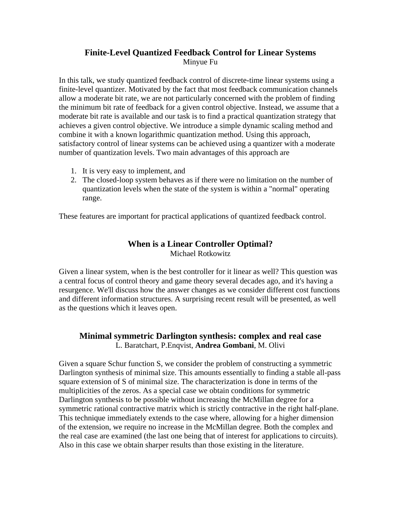# **Finite-Level Quantized Feedback Control for Linear Systems** Minyue Fu

In this talk, we study quantized feedback control of discrete-time linear systems using a finite-level quantizer. Motivated by the fact that most feedback communication channels allow a moderate bit rate, we are not particularly concerned with the problem of finding the minimum bit rate of feedback for a given control objective. Instead, we assume that a moderate bit rate is available and our task is to find a practical quantization strategy that achieves a given control objective. We introduce a simple dynamic scaling method and combine it with a known logarithmic quantization method. Using this approach, satisfactory control of linear systems can be achieved using a quantizer with a moderate number of quantization levels. Two main advantages of this approach are

- 1. It is very easy to implement, and
- 2. The closed-loop system behaves as if there were no limitation on the number of quantization levels when the state of the system is within a "normal" operating range.

These features are important for practical applications of quantized feedback control.

# **When is a Linear Controller Optimal?**

Michael Rotkowitz

Given a linear system, when is the best controller for it linear as well? This question was a central focus of control theory and game theory several decades ago, and it's having a resurgence. We'll discuss how the answer changes as we consider different cost functions and different information structures. A surprising recent result will be presented, as well as the questions which it leaves open.

## **Minimal symmetric Darlington synthesis: complex and real case** L. Baratchart, P.Enqvist, **Andrea Gombani**, M. Olivi

Given a square Schur function S, we consider the problem of constructing a symmetric Darlington synthesis of minimal size. This amounts essentially to finding a stable all-pass square extension of S of minimal size. The characterization is done in terms of the multiplicities of the zeros. As a special case we obtain conditions for symmetric Darlington synthesis to be possible without increasing the McMillan degree for a symmetric rational contractive matrix which is strictly contractive in the right half-plane. This technique immediately extends to the case where, allowing for a higher dimension of the extension, we require no increase in the McMillan degree. Both the complex and the real case are examined (the last one being that of interest for applications to circuits). Also in this case we obtain sharper results than those existing in the literature.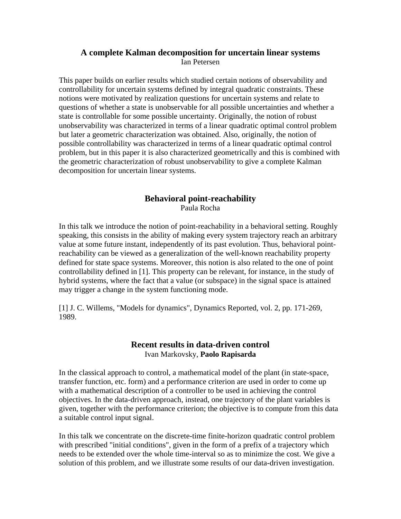## **A complete Kalman decomposition for uncertain linear systems** Ian Petersen

This paper builds on earlier results which studied certain notions of observability and controllability for uncertain systems defined by integral quadratic constraints. These notions were motivated by realization questions for uncertain systems and relate to questions of whether a state is unobservable for all possible uncertainties and whether a state is controllable for some possible uncertainty. Originally, the notion of robust unobservability was characterized in terms of a linear quadratic optimal control problem but later a geometric characterization was obtained. Also, originally, the notion of possible controllability was characterized in terms of a linear quadratic optimal control problem, but in this paper it is also characterized geometrically and this is combined with the geometric characterization of robust unobservability to give a complete Kalman decomposition for uncertain linear systems.

### **Behavioral point-reachability** Paula Rocha

In this talk we introduce the notion of point-reachability in a behavioral setting. Roughly speaking, this consists in the ability of making every system trajectory reach an arbitrary value at some future instant, independently of its past evolution. Thus, behavioral pointreachability can be viewed as a generalization of the well-known reachability property defined for state space systems. Moreover, this notion is also related to the one of point controllability defined in [1]. This property can be relevant, for instance, in the study of hybrid systems, where the fact that a value (or subspace) in the signal space is attained may trigger a change in the system functioning mode.

[1] J. C. Willems, "Models for dynamics", Dynamics Reported, vol. 2, pp. 171-269, 1989.

## **Recent results in data-driven control** Ivan Markovsky, **Paolo Rapisarda**

In the classical approach to control, a mathematical model of the plant (in state-space, transfer function, etc. form) and a performance criterion are used in order to come up with a mathematical description of a controller to be used in achieving the control objectives. In the data-driven approach, instead, one trajectory of the plant variables is given, together with the performance criterion; the objective is to compute from this data a suitable control input signal.

In this talk we concentrate on the discrete-time finite-horizon quadratic control problem with prescribed "initial conditions", given in the form of a prefix of a trajectory which needs to be extended over the whole time-interval so as to minimize the cost. We give a solution of this problem, and we illustrate some results of our data-driven investigation.